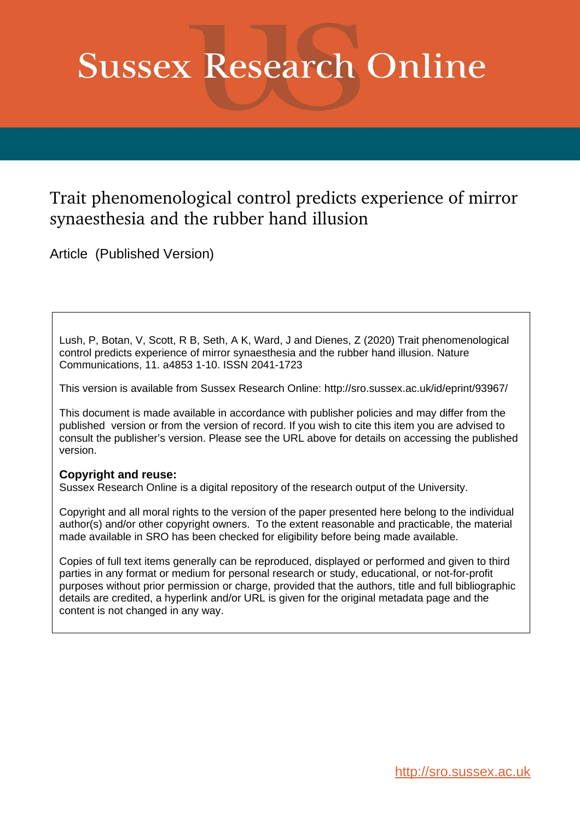# **Sussex Research Online**

## Trait phenomenological control predicts experience of mirror synaesthesia and the rubber hand illusion

Article (Published Version)

Lush, P, Botan, V, Scott, R B, Seth, A K, Ward, J and Dienes, Z (2020) Trait phenomenological control predicts experience of mirror synaesthesia and the rubber hand illusion. Nature Communications, 11. a4853 1-10. ISSN 2041-1723

This version is available from Sussex Research Online: http://sro.sussex.ac.uk/id/eprint/93967/

This document is made available in accordance with publisher policies and may differ from the published version or from the version of record. If you wish to cite this item you are advised to consult the publisher's version. Please see the URL above for details on accessing the published version.

#### **Copyright and reuse:**

Sussex Research Online is a digital repository of the research output of the University.

Copyright and all moral rights to the version of the paper presented here belong to the individual author(s) and/or other copyright owners. To the extent reasonable and practicable, the material made available in SRO has been checked for eligibility before being made available.

Copies of full text items generally can be reproduced, displayed or performed and given to third parties in any format or medium for personal research or study, educational, or not-for-profit purposes without prior permission or charge, provided that the authors, title and full bibliographic details are credited, a hyperlink and/or URL is given for the original metadata page and the content is not changed in any way.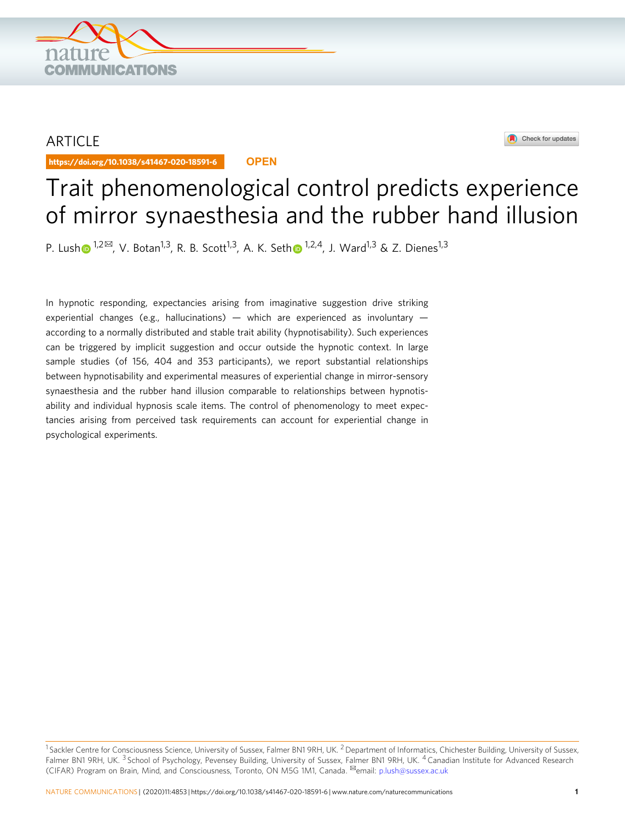

### ARTICLE

https://doi.org/10.1038/s41467-020-18591-6 **OPEN**



## Trait phenomenological control predicts experience of mirror synaesthesia and the rubber hand illusion

P. Lus[h](http://orcid.org/0000-0002-1421-6051)  $\bullet$  [1](http://orcid.org/0000-0002-1421-6051),2 $\text{M}$ , V. Botan<sup>1,3</sup>, R. B. Scott<sup>1,3</sup>, A. K. Seth  $\bullet$  1,2,4, J. Ward<sup>1,3</sup> & Z. Dienes<sup>1,3</sup>

In hypnotic responding, expectancies arising from imaginative suggestion drive striking experiential changes (e.g., hallucinations) — which are experienced as involuntary according to a normally distributed and stable trait ability (hypnotisability). Such experiences can be triggered by implicit suggestion and occur outside the hypnotic context. In large sample studies (of 156, 404 and 353 participants), we report substantial relationships between hypnotisability and experimental measures of experiential change in mirror-sensory synaesthesia and the rubber hand illusion comparable to relationships between hypnotisability and individual hypnosis scale items. The control of phenomenology to meet expectancies arising from perceived task requirements can account for experiential change in psychological experiments.

<sup>&</sup>lt;sup>1</sup> Sackler Centre for Consciousness Science, University of Sussex, Falmer BN1 9RH, UK.<sup>2</sup> Department of Informatics, Chichester Building, University of Sussex, Falmer BN1 9RH, UK. <sup>3</sup> School of Psychology, Pevensey Building, University of Sussex, Falmer BN1 9RH, UK. <sup>4</sup> Canadian Institute for Advanced Research (CIFAR) Program on Brain, Mind, and Consciousness, Toronto, ON M5G 1M1, Canada. ✉email: [p.lush@sussex.ac.uk](mailto:p.lush@sussex.ac.uk)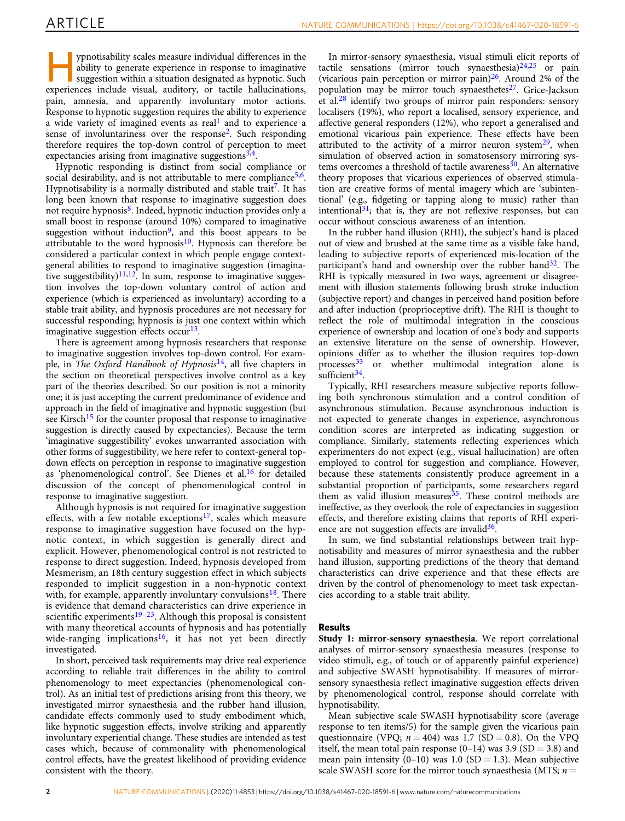ypnotisability scales measure individual differences in the ability to generate experience in response to imaginative suggestion within a situation designated as hypnotic. Such experiences include visual, auditory, or tactile hallucinations, pain, amnesia, and apparently involuntary motor actions. Response to hypnotic suggestion requires the ability to experience a wide variety of imagined events as real<sup>[1](#page-9-0)</sup> and to experience a sense of involuntariness over the response[2.](#page-9-0) Such responding therefore requires the top-down control of perception to meet expectancies arising from imaginative suggestions  $3,4$ .

Hypnotic responding is distinct from social compliance or social desirability, and is not attributable to mere compliance<sup>[5](#page-9-0),6</sup>. Hypnotisability is a normally distributed and stable trait<sup>7</sup>. It has long been known that response to imaginative suggestion does not require hypnosis<sup>[8](#page-9-0)</sup>. Indeed, hypnotic induction provides only a small boost in response (around 10%) compared to imaginative suggestion without induction<sup>[9](#page-9-0)</sup>, and this boost appears to be attributable to the word hypnosis<sup>[10](#page-9-0)</sup>. Hypnosis can therefore be considered a particular context in which people engage contextgeneral abilities to respond to imaginative suggestion (imaginative suggestibility) $11,12$  $11,12$  $11,12$ . In sum, response to imaginative suggestion involves the top-down voluntary control of action and experience (which is experienced as involuntary) according to a stable trait ability, and hypnosis procedures are not necessary for successful responding; hypnosis is just one context within which imaginative suggestion effects occur<sup>13</sup>.

There is agreement among hypnosis researchers that response to imaginative suggestion involves top-down control. For example, in The Oxford Handbook of Hypnosis<sup>14</sup>, all five chapters in the section on theoretical perspectives involve control as a key part of the theories described. So our position is not a minority one; it is just accepting the current predominance of evidence and approach in the field of imaginative and hypnotic suggestion (but see Kirsch<sup>[15](#page-9-0)</sup> for the counter proposal that response to imaginative suggestion is directly caused by expectancies). Because the term 'imaginative suggestibility' evokes unwarranted association with other forms of suggestibility, we here refer to context-general topdown effects on perception in response to imaginative suggestion as 'phenomenological control'. See Dienes et al.<sup>[16](#page-9-0)</sup> for detailed discussion of the concept of phenomenological control in response to imaginative suggestion.

Although hypnosis is not required for imaginative suggestion effects, with a few notable exceptions<sup>17</sup>, scales which measure response to imaginative suggestion have focused on the hypnotic context, in which suggestion is generally direct and explicit. However, phenomenological control is not restricted to response to direct suggestion. Indeed, hypnosis developed from Mesmerism, an 18th century suggestion effect in which subjects responded to implicit suggestion in a non-hypnotic context with, for example, apparently involuntary convulsions<sup>18</sup>. There is evidence that demand characteristics can drive experience in scientific experiments $19-23$  $19-23$  $19-23$ . Although this proposal is consistent with many theoretical accounts of hypnosis and has potentially wide-ranging implications<sup>16</sup>, it has not yet been directly investigated.

In short, perceived task requirements may drive real experience according to reliable trait differences in the ability to control phenomenology to meet expectancies (phenomenological control). As an initial test of predictions arising from this theory, we investigated mirror synaesthesia and the rubber hand illusion, candidate effects commonly used to study embodiment which, like hypnotic suggestion effects, involve striking and apparently involuntary experiential change. These studies are intended as test cases which, because of commonality with phenomenological control effects, have the greatest likelihood of providing evidence consistent with the theory.

In mirror-sensory synaesthesia, visual stimuli elicit reports of tactile sensations (mirror touch synaesthesia) $24,25$  or pain (vicarious pain perception or mirror pain) $^{26}$  $^{26}$  $^{26}$ . Around 2% of the population may be mirror touch synaesthetes $27$ . Grice-Jackson et al.<sup>[28](#page-9-0)</sup> identify two groups of mirror pain responders: sensory localisers (19%), who report a localised, sensory experience, and affective general responders (12%), who report a generalised and emotional vicarious pain experience. These effects have been attributed to the activity of a mirror neuron system<sup>[29](#page-9-0)</sup>, when simulation of observed action in somatosensory mirroring systems overcomes a threshold of tactile awareness $30$ . An alternative theory proposes that vicarious experiences of observed stimulation are creative forms of mental imagery which are 'subintentional' (e.g., fidgeting or tapping along to music) rather than intentional $31$ ; that is, they are not reflexive responses, but can occur without conscious awareness of an intention.

In the rubber hand illusion (RHI), the subject's hand is placed out of view and brushed at the same time as a visible fake hand, leading to subjective reports of experienced mis-location of the participant's hand and ownership over the rubber hand<sup>32</sup>. The RHI is typically measured in two ways, agreement or disagreement with illusion statements following brush stroke induction (subjective report) and changes in perceived hand position before and after induction (proprioceptive drift). The RHI is thought to reflect the role of multimodal integration in the conscious experience of ownership and location of one's body and supports an extensive literature on the sense of ownership. However, opinions differ as to whether the illusion requires top-down processes<sup>[33](#page-9-0)</sup> or whether multimodal integration alone is sufficient $34$ .

Typically, RHI researchers measure subjective reports following both synchronous stimulation and a control condition of asynchronous stimulation. Because asynchronous induction is not expected to generate changes in experience, asynchronous condition scores are interpreted as indicating suggestion or compliance. Similarly, statements reflecting experiences which experimenters do not expect (e.g., visual hallucination) are often employed to control for suggestion and compliance. However, because these statements consistently produce agreement in a substantial proportion of participants, some researchers regard them as valid illusion measures $35$ . These control methods are ineffective, as they overlook the role of expectancies in suggestion effects, and therefore existing claims that reports of RHI experience are not suggestion effects are invalid $36$ .

In sum, we find substantial relationships between trait hypnotisability and measures of mirror synaesthesia and the rubber hand illusion, supporting predictions of the theory that demand characteristics can drive experience and that these effects are driven by the control of phenomenology to meet task expectancies according to a stable trait ability.

#### Results

Study 1: mirror-sensory synaesthesia. We report correlational analyses of mirror-sensory synaesthesia measures (response to video stimuli, e.g., of touch or of apparently painful experience) and subjective SWASH hypnotisability. If measures of mirrorsensory synaesthesia reflect imaginative suggestion effects driven by phenomenological control, response should correlate with hypnotisability.

Mean subjective scale SWASH hypnotisability score (average response to ten items/5) for the sample given the vicarious pain questionnaire (VPQ;  $n = 404$ ) was 1.7 (SD = 0.8). On the VPQ itself, the mean total pain response  $(0-14)$  was 3.9  $(SD = 3.8)$  and mean pain intensity  $(0-10)$  was 1.0  $(SD = 1.3)$ . Mean subjective scale SWASH score for the mirror touch synaesthesia (MTS;  $n =$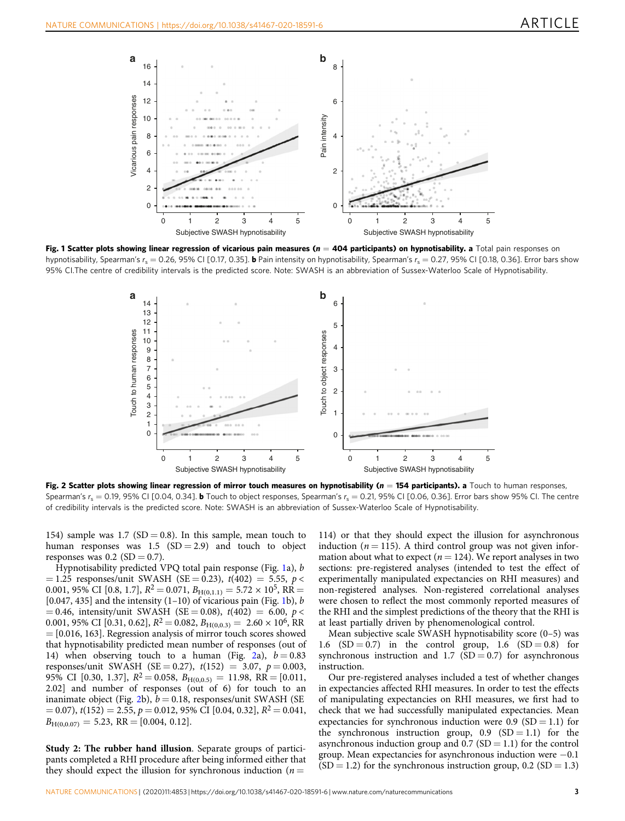

Fig. 1 Scatter plots showing linear regression of vicarious pain measures ( $n = 404$  participants) on hypnotisability. a Total pain responses on hypnotisability, Spearman's  $r_s = 0.26$ , 95% CI [0.17, 0.35]. **b** Pain intensity on hypnotisability, Spearman's  $r_s = 0.27$ , 95% CI [0.18, 0.36]. Error bars show 95% CI.The centre of credibility intervals is the predicted score. Note: SWASH is an abbreviation of Sussex-Waterloo Scale of Hypnotisability.



Fig. 2 Scatter plots showing linear regression of mirror touch measures on hypnotisability ( $n = 154$  participants). a Touch to human responses, Spearman's  $r_s = 0.19$ , 95% CI [0.04, 0.34]. **b** Touch to object responses, Spearman's  $r_s = 0.21$ , 95% CI [0.06, 0.36]. Error bars show 95% CI. The centre of credibility intervals is the predicted score. Note: SWASH is an abbreviation of Sussex-Waterloo Scale of Hypnotisability.

154) sample was 1.7 (SD = 0.8). In this sample, mean touch to human responses was 1.5  $(SD = 2.9)$  and touch to object responses was  $0.2$  (SD = 0.7).

Hypnotisability predicted VPQ total pain response (Fig. 1a), b  $= 1.25$  responses/unit SWASH (SE  $= 0.23$ ),  $t(402) = 5.55, p <$ 0.001, 95% CI [0.8, 1.7],  $R^2 = 0.071$ ,  $B_{H(0,1,1)} = 5.72 \times 10^5$ , RR =  $[0.047, 435]$  and the intensity  $(1-10)$  of vicarious pain (Fig. 1b), b  $= 0.46$ , intensity/unit SWASH (SE  $= 0.08$ ),  $t(402) = 6.00$ ,  $p <$ 0.001, 95% CI [0.31, 0.62],  $R^2 = 0.082$ ,  $B_{H(0,0.3)} = 2.60 \times 10^6$ , RR  $=[0.016, 163]$ . Regression analysis of mirror touch scores showed that hypnotisability predicted mean number of responses (out of 14) when observing touch to a human (Fig. 2a),  $b = 0.83$ responses/unit SWASH (SE = 0.27),  $t(152) = 3.07$ ,  $p = 0.003$ , 95% CI [0.30, 1.37],  $R^2 = 0.058$ ,  $B_{H(0,0.5)} = 11.98$ ,  $RR = [0.011]$ , 2.02] and number of responses (out of 6) for touch to an inanimate object (Fig. 2b),  $b = 0.18$ , responses/unit SWASH (SE  $= 0.07$ ),  $t(152) = 2.55$ ,  $p = 0.012$ , 95% CI [0.04, 0.32],  $R^2 = 0.041$ ,  $B_{\text{H}(0,0.07)} = 5.23$ , RR = [0.004, 0.12].

Study 2: The rubber hand illusion. Separate groups of participants completed a RHI procedure after being informed either that they should expect the illusion for synchronous induction ( $n =$ 

114) or that they should expect the illusion for asynchronous induction ( $n = 115$ ). A third control group was not given information about what to expect ( $n = 124$ ). We report analyses in two sections: pre-registered analyses (intended to test the effect of experimentally manipulated expectancies on RHI measures) and non-registered analyses. Non-registered correlational analyses were chosen to reflect the most commonly reported measures of the RHI and the simplest predictions of the theory that the RHI is at least partially driven by phenomenological control.

Mean subjective scale SWASH hypnotisability score (0–5) was 1.6  $(SD = 0.7)$  in the control group, 1.6  $(SD = 0.8)$  for synchronous instruction and 1.7 ( $SD = 0.7$ ) for asynchronous instruction.

Our pre-registered analyses included a test of whether changes in expectancies affected RHI measures. In order to test the effects of manipulating expectancies on RHI measures, we first had to check that we had successfully manipulated expectancies. Mean expectancies for synchronous induction were 0.9 ( $SD = 1.1$ ) for the synchronous instruction group,  $0.9$  (SD = 1.1) for the asynchronous induction group and  $0.7$  (SD = 1.1) for the control group. Mean expectancies for asynchronous induction were −0.1  $(SD = 1.2)$  for the synchronous instruction group, 0.2  $(SD = 1.3)$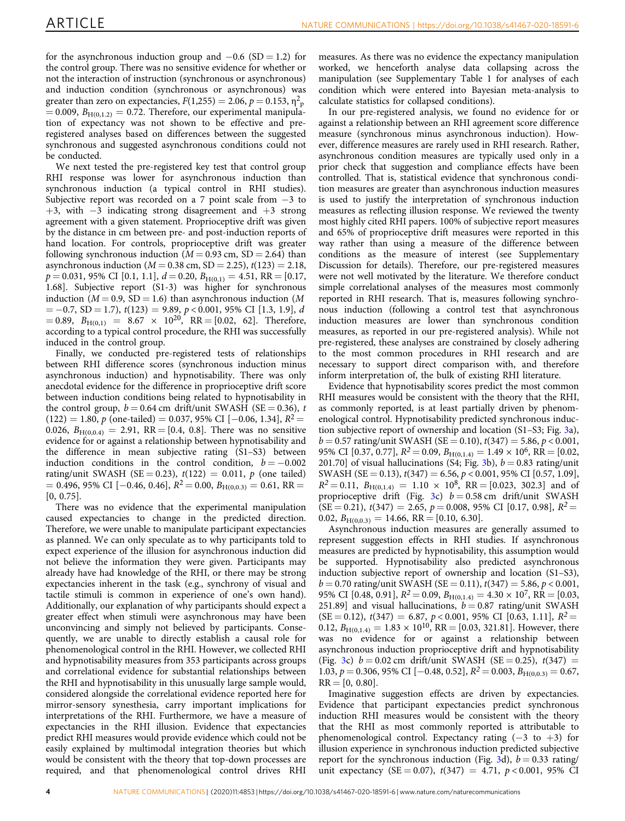for the asynchronous induction group and  $-0.6$  (SD = 1.2) for the control group. There was no sensitive evidence for whether or not the interaction of instruction (synchronous or asynchronous) and induction condition (synchronous or asynchronous) was greater than zero on expectancies,  $F(1,255) = 2.06$ ,  $p = 0.153$ ,  $\eta^2$ <sub>p</sub>  $= 0.009$ ,  $B_{H(0,1,2)} = 0.72$ . Therefore, our experimental manipulation of expectancy was not shown to be effective and preregistered analyses based on differences between the suggested synchronous and suggested asynchronous conditions could not be conducted.

We next tested the pre-registered key test that control group RHI response was lower for asynchronous induction than synchronous induction (a typical control in RHI studies). Subjective report was recorded on a 7 point scale from −3 to +3, with −3 indicating strong disagreement and +3 strong agreement with a given statement. Proprioceptive drift was given by the distance in cm between pre- and post-induction reports of hand location. For controls, proprioceptive drift was greater following synchronous induction ( $M = 0.93$  cm,  $SD = 2.64$ ) than asynchronous induction ( $M = 0.38$  cm, SD = 2.25),  $t(123) = 2.18$ ,  $p = 0.031, 95\% \text{ CI} [0.1, 1.1], d = 0.20, B_{H(0,1)} = 4.51, RR = [0.17,$ 1.68]. Subjective report (S1-3) was higher for synchronous induction ( $M = 0.9$ ,  $SD = 1.6$ ) than asynchronous induction (M  $= -0.7$ , SD  $= 1.7$ ),  $t(123) = 9.89$ ,  $p < 0.001$ , 95% CI [1.3, 1.9], d  $= 0.89, B_{H(0,1)} = 8.67 \times 10^{20}$ , RR  $= [0.02, 62]$ . Therefore, according to a typical control procedure, the RHI was successfully induced in the control group.

Finally, we conducted pre-registered tests of relationships between RHI difference scores (synchronous induction minus asynchronous induction) and hypnotisability. There was only anecdotal evidence for the difference in proprioceptive drift score between induction conditions being related to hypnotisability in the control group,  $b = 0.64$  cm drift/unit SWASH (SE = 0.36), t  $(122) = 1.80$ , p (one-tailed) = 0.037, 95% CI [−0.06, 1.34],  $R^2 =$ 0.026,  $B_{H(0,0.4)} = 2.91$ , RR = [0.4, 0.8]. There was no sensitive evidence for or against a relationship between hypnotisability and the difference in mean subjective rating (S1–S3) between induction conditions in the control condition,  $b = -0.002$ rating/unit SWASH (SE = 0.23),  $t(122) = 0.011$ ,  $p$  (one tailed)  $= 0.496, 95\% \text{ CI } [-0.46, 0.46], R^2 = 0.00, B_{H(0,0,3)} = 0.61, RR =$ [0, 0.75].

There was no evidence that the experimental manipulation caused expectancies to change in the predicted direction. Therefore, we were unable to manipulate participant expectancies as planned. We can only speculate as to why participants told to expect experience of the illusion for asynchronous induction did not believe the information they were given. Participants may already have had knowledge of the RHI, or there may be strong expectancies inherent in the task (e.g., synchrony of visual and tactile stimuli is common in experience of one's own hand). Additionally, our explanation of why participants should expect a greater effect when stimuli were asynchronous may have been unconvincing and simply not believed by participants. Consequently, we are unable to directly establish a causal role for phenomenological control in the RHI. However, we collected RHI and hypnotisability measures from 353 participants across groups and correlational evidence for substantial relationships between the RHI and hypnotisability in this unusually large sample would, considered alongside the correlational evidence reported here for mirror-sensory synesthesia, carry important implications for interpretations of the RHI. Furthermore, we have a measure of expectancies in the RHI illusion. Evidence that expectancies predict RHI measures would provide evidence which could not be easily explained by multimodal integration theories but which would be consistent with the theory that top-down processes are required, and that phenomenological control drives RHI

measures. As there was no evidence the expectancy manipulation worked, we henceforth analyse data collapsing across the manipulation (see Supplementary Table 1 for analyses of each condition which were entered into Bayesian meta-analysis to calculate statistics for collapsed conditions).

In our pre-registered analysis, we found no evidence for or against a relationship between an RHI agreement score difference measure (synchronous minus asynchronous induction). However, difference measures are rarely used in RHI research. Rather, asynchronous condition measures are typically used only in a prior check that suggestion and compliance effects have been controlled. That is, statistical evidence that synchronous condition measures are greater than asynchronous induction measures is used to justify the interpretation of synchronous induction measures as reflecting illusion response. We reviewed the twenty most highly cited RHI papers. 100% of subjective report measures and 65% of proprioceptive drift measures were reported in this way rather than using a measure of the difference between conditions as the measure of interest (see Supplementary Discussion for details). Therefore, our pre-registered measures were not well motivated by the literature. We therefore conduct simple correlational analyses of the measures most commonly reported in RHI research. That is, measures following synchronous induction (following a control test that asynchronous induction measures are lower than synchronous condition measures, as reported in our pre-registered analysis). While not pre-registered, these analyses are constrained by closely adhering to the most common procedures in RHI research and are necessary to support direct comparison with, and therefore inform interpretation of, the bulk of existing RHI literature.

Evidence that hypnotisability scores predict the most common RHI measures would be consistent with the theory that the RHI, as commonly reported, is at least partially driven by phenomenological control. Hypnotisability predicted synchronous induction subjective report of ownership and location (S1–S3; Fig. [3](#page-5-0)a),  $b = 0.57$  rating/unit SWASH (SE = 0.10),  $t(347) = 5.86$ ,  $p < 0.001$ , 95% CI [0.37, 0.77],  $R^2 = 0.09$ ,  $B_{H(0,1.4)} = 1.49 \times 10^6$ , RR = [0.02, 201.70] of visual hallucinations (S4; Fig. [3b](#page-5-0)),  $b = 0.83$  rating/unit SWASH (SE = 0.13),  $t(347) = 6.56$ ,  $p < 0.001$ , 95% CI [0.57, 1.09],  $R^2 = 0.11$ ,  $B_{H(0,1.4)} = 1.10 \times 10^8$ , RR = [0.023, 302.3] and of proprioceptive drift (Fig. [3c](#page-5-0))  $b = 0.58$  cm drift/unit SWASH  $(SE = 0.21)$ ,  $t(347) = 2.65$ ,  $p = 0.008$ , 95% CI [0.17, 0.98],  $R^2 =$ 0.02,  $B_{H(0,0.3)} = 14.66$ , RR = [0.10, 6.30].

Asynchronous induction measures are generally assumed to represent suggestion effects in RHI studies. If asynchronous measures are predicted by hypnotisability, this assumption would be supported. Hypnotisability also predicted asynchronous induction subjective report of ownership and location (S1–S3),  $b = 0.70$  rating/unit SWASH (SE = 0.11),  $t(347) = 5.86, p < 0.001$ , 95% CI [0.48, 0.91],  $R^2 = 0.09$ ,  $B_{H(0,1.4)} = 4.30 \times 10^7$ , RR = [0.03, 251.89] and visual hallucinations,  $b = 0.87$  rating/unit SWASH  $(SE = 0.12)$ ,  $t(347) = 6.87$ ,  $p < 0.001$ , 95% CI [0.63, 1.11],  $R^2 =$ 0.12,  $B_{H(0,1.4)} = 1.83 \times 10^{10}$ , RR = [0.03, 321.81]. However, there was no evidence for or against a relationship between asynchronous induction proprioceptive drift and hypnotisability (Fig. [3c](#page-5-0))  $b = 0.02$  cm drift/unit SWASH (SE = 0.25),  $t(347)$  = 1.03,  $p = 0.306$ , 95% CI [−0.48, 0.52],  $R^2 = 0.003$ ,  $B_{H(0,0.3)} = 0.67$ ,  $RR = [0, 0.80].$ 

Imaginative suggestion effects are driven by expectancies. Evidence that participant expectancies predict synchronous induction RHI measures would be consistent with the theory that the RHI as most commonly reported is attributable to phenomenological control. Expectancy rating  $(-3 \text{ to } +3)$  for illusion experience in synchronous induction predicted subjective report for the synchronous induction (Fig. [3d](#page-5-0)),  $b = 0.33$  rating/ unit expectancy (SE = 0.07),  $t(347) = 4.71$ ,  $p < 0.001$ , 95% CI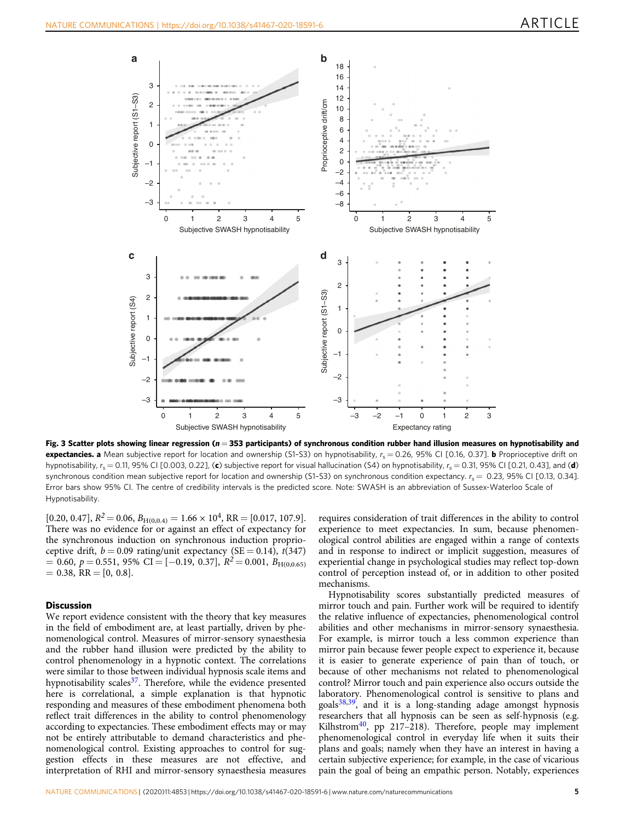<span id="page-5-0"></span>

Fig. 3 Scatter plots showing linear regression ( $n = 353$  participants) of synchronous condition rubber hand illusion measures on hypnotisability and expectancies. a Mean subjective report for location and ownership (S1-S3) on hypnotisability,  $r_s = 0.26$ , 95% CI [0.16, 0.37]. b Proprioceptive drift on hypnotisability,  $r_s = 0.11$ , 95% CI [0.003, 0.22], (c) subjective report for visual hallucination (S4) on hypnotisability,  $r_s = 0.31$ , 95% CI [0.21, 0.43], and (d) synchronous condition mean subjective report for location and ownership (S1-S3) on synchronous condition expectancy.  $r_s = 0.23$ , 95% CI [0.13, 0.34]. Error bars show 95% CI. The centre of credibility intervals is the predicted score. Note: SWASH is an abbreviation of Sussex-Waterloo Scale of Hypnotisability.

 $[0.20, 0.47], R^2 = 0.06, B_{H(0,0.4)} = 1.66 \times 10^4, RR = [0.017, 107.9].$ There was no evidence for or against an effect of expectancy for the synchronous induction on synchronous induction proprioceptive drift,  $b = 0.09$  rating/unit expectancy (SE = 0.14),  $t(347)$  $= 0.60, p = 0.551, 95\% \text{ CI} = [-0.19, 0.37], R^2 = 0.001, B_{H(0,0.65)}$  $= 0.38$ , RR  $= [0, 0.8]$ .

#### **Discussion**

We report evidence consistent with the theory that key measures in the field of embodiment are, at least partially, driven by phenomenological control. Measures of mirror-sensory synaesthesia and the rubber hand illusion were predicted by the ability to control phenomenology in a hypnotic context. The correlations were similar to those between individual hypnosis scale items and hypnotisability scales<sup>37</sup>. Therefore, while the evidence presented here is correlational, a simple explanation is that hypnotic responding and measures of these embodiment phenomena both reflect trait differences in the ability to control phenomenology according to expectancies. These embodiment effects may or may not be entirely attributable to demand characteristics and phenomenological control. Existing approaches to control for suggestion effects in these measures are not effective, and interpretation of RHI and mirror-sensory synaesthesia measures requires consideration of trait differences in the ability to control experience to meet expectancies. In sum, because phenomenological control abilities are engaged within a range of contexts and in response to indirect or implicit suggestion, measures of experiential change in psychological studies may reflect top-down control of perception instead of, or in addition to other posited mechanisms.

Hypnotisability scores substantially predicted measures of mirror touch and pain. Further work will be required to identify the relative influence of expectancies, phenomenological control abilities and other mechanisms in mirror-sensory synaesthesia. For example, is mirror touch a less common experience than mirror pain because fewer people expect to experience it, because it is easier to generate experience of pain than of touch, or because of other mechanisms not related to phenomenological control? Mirror touch and pain experience also occurs outside the laboratory. Phenomenological control is sensitive to plans and goals<sup>38,39</sup>, and it is a long-standing adage amongst hypnosis researchers that all hypnosis can be seen as self-hypnosis (e.g. Kilhstrom<sup>[40](#page-9-0)</sup>, pp 217-218). Therefore, people may implement phenomenological control in everyday life when it suits their plans and goals; namely when they have an interest in having a certain subjective experience; for example, in the case of vicarious pain the goal of being an empathic person. Notably, experiences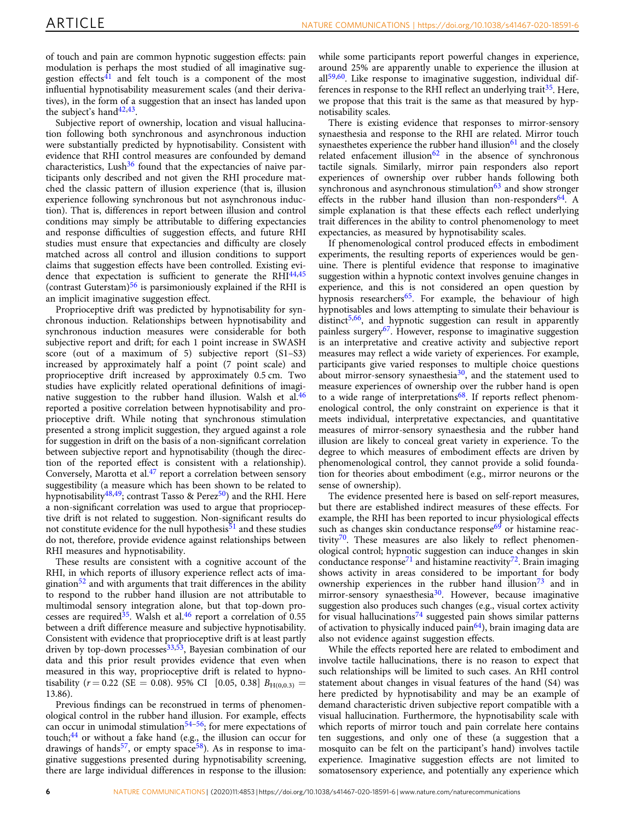of touch and pain are common hypnotic suggestion effects: pain modulation is perhaps the most studied of all imaginative sug-gestion effects<sup>[41](#page-9-0)</sup> and felt touch is a component of the most influential hypnotisability measurement scales (and their derivatives), in the form of a suggestion that an insect has landed upon the subject's hand<sup>42,43</sup>.

Subjective report of ownership, location and visual hallucination following both synchronous and asynchronous induction were substantially predicted by hypnotisability. Consistent with evidence that RHI control measures are confounded by demand characteristics, Lush<sup>[36](#page-9-0)</sup> found that the expectancies of naive participants only described and not given the RHI procedure matched the classic pattern of illusion experience (that is, illusion experience following synchronous but not asynchronous induction). That is, differences in report between illusion and control conditions may simply be attributable to differing expectancies and response difficulties of suggestion effects, and future RHI studies must ensure that expectancies and difficulty are closely matched across all control and illusion conditions to support claims that suggestion effects have been controlled. Existing evi-dence that expectation is sufficient to generate the RHI<sup>[44,45](#page-9-0)</sup> (contrast Guterstam) $56$  is parsimoniously explained if the RHI is an implicit imaginative suggestion effect.

Proprioceptive drift was predicted by hypnotisability for synchronous induction. Relationships between hypnotisability and synchronous induction measures were considerable for both subjective report and drift; for each 1 point increase in SWASH score (out of a maximum of 5) subjective report (S1–S3) increased by approximately half a point (7 point scale) and proprioceptive drift increased by approximately 0.5 cm. Two studies have explicitly related operational definitions of imaginative suggestion to the rubber hand illusion. Walsh et al.<sup>46</sup> reported a positive correlation between hypnotisability and proprioceptive drift. While noting that synchronous stimulation presented a strong implicit suggestion, they argued against a role for suggestion in drift on the basis of a non-significant correlation between subjective report and hypnotisability (though the direction of the reported effect is consistent with a relationship). Conversely, Marotta et al.<sup>47</sup> report a correlation between sensory suggestibility (a measure which has been shown to be related to hypnotisability<sup>[48](#page-10-0),[49](#page-10-0)</sup>; contrast Tasso & Perez<sup>[50](#page-10-0)</sup>) and the RHI. Here a non-significant correlation was used to argue that proprioceptive drift is not related to suggestion. Non-significant results do not constitute evidence for the null hypothesis $51$  and these studies do not, therefore, provide evidence against relationships between RHI measures and hypnotisability.

These results are consistent with a cognitive account of the RHI, in which reports of illusory experience reflect acts of imagination $52$  and with arguments that trait differences in the ability to respond to the rubber hand illusion are not attributable to multimodal sensory integration alone, but that top-down pro-cesses are required<sup>[35](#page-9-0)</sup>. Walsh et al.<sup>46</sup> report a correlation of  $0.55$ between a drift difference measure and subjective hypnotisability. Consistent with evidence that proprioceptive drift is at least partly driven by top-down processes<sup>[33](#page-9-0),[53](#page-10-0)</sup>, Bayesian combination of our data and this prior result provides evidence that even when measured in this way, proprioceptive drift is related to hypnotisability ( $r = 0.22$  (SE = 0.08). 95% CI [0.05, 0.38]  $B_{H(0,0.3)} =$ 13.86).

Previous findings can be reconstrued in terms of phenomenological control in the rubber hand illusion. For example, effects can occur in unimodal stimulation<sup>[54](#page-10-0)–[56](#page-10-0)</sup>; for mere expectations of touch; $44$  or without a fake hand (e.g., the illusion can occur for drawings of hands<sup>[57](#page-10-0)</sup>, or empty space<sup>58</sup>). As in response to imaginative suggestions presented during hypnotisability screening, there are large individual differences in response to the illusion:

while some participants report powerful changes in experience, around 25% are apparently unable to experience the illusion at  $all^{59,60}$ . Like response to imaginative suggestion, individual differences in response to the RHI reflect an underlying trait<sup>35</sup>. Here, we propose that this trait is the same as that measured by hypnotisability scales.

There is existing evidence that responses to mirror-sensory synaesthesia and response to the RHI are related. Mirror touch synaesthetes experience the rubber hand illusion $61$  and the closely related enfacement illusion $62$  in the absence of synchronous tactile signals. Similarly, mirror pain responders also report experiences of ownership over rubber hands following both synchronous and asynchronous stimulation $63$  and show stronger effects in the rubber hand illusion than non-responders $64$ . A simple explanation is that these effects each reflect underlying trait differences in the ability to control phenomenology to meet expectancies, as measured by hypnotisability scales.

If phenomenological control produced effects in embodiment experiments, the resulting reports of experiences would be genuine. There is plentiful evidence that response to imaginative suggestion within a hypnotic context involves genuine changes in experience, and this is not considered an open question by hypnosis researchers<sup>65</sup>. For example, the behaviour of high hypnotisables and lows attempting to simulate their behaviour is distinct $5,66$  $5,66$  $5,66$ , and hypnotic suggestion can result in apparently painless surgery<sup>[67](#page-10-0)</sup>. However, response to imaginative suggestion is an interpretative and creative activity and subjective report measures may reflect a wide variety of experiences. For example, participants give varied responses to multiple choice questions about mirror-sensory synaesthesia $30$ , and the statement used to measure experiences of ownership over the rubber hand is open to a wide range of interpretations $68$ . If reports reflect phenomenological control, the only constraint on experience is that it meets individual, interpretative expectancies, and quantitative measures of mirror-sensory synaesthesia and the rubber hand illusion are likely to conceal great variety in experience. To the degree to which measures of embodiment effects are driven by phenomenological control, they cannot provide a solid foundation for theories about embodiment (e.g., mirror neurons or the sense of ownership).

The evidence presented here is based on self-report measures, but there are established indirect measures of these effects. For example, the RHI has been reported to incur physiological effects such as changes skin conductance response<sup>[69](#page-10-0)</sup> or histamine reac-tivity<sup>[70](#page-10-0)</sup>. These measures are also likely to reflect phenomenological control; hypnotic suggestion can induce changes in skin conductance response<sup>[71](#page-10-0)</sup> and histamine reactivity<sup>72</sup>. Brain imaging shows activity in areas considered to be important for body ownership experiences in the rubber hand illusion<sup>[73](#page-10-0)</sup> and in mirror-sensory synaesthesia<sup>30</sup>. However, because imaginative suggestion also produces such changes (e.g., visual cortex activity for visual hallucinations<sup>[74](#page-10-0)</sup> suggested pain shows similar patterns of activation to physically induced  $\text{pain}^{64}$ ), brain imaging data are also not evidence against suggestion effects.

While the effects reported here are related to embodiment and involve tactile hallucinations, there is no reason to expect that such relationships will be limited to such cases. An RHI control statement about changes in visual features of the hand (S4) was here predicted by hypnotisability and may be an example of demand characteristic driven subjective report compatible with a visual hallucination. Furthermore, the hypnotisability scale with which reports of mirror touch and pain correlate here contains ten suggestions, and only one of these (a suggestion that a mosquito can be felt on the participant's hand) involves tactile experience. Imaginative suggestion effects are not limited to somatosensory experience, and potentially any experience which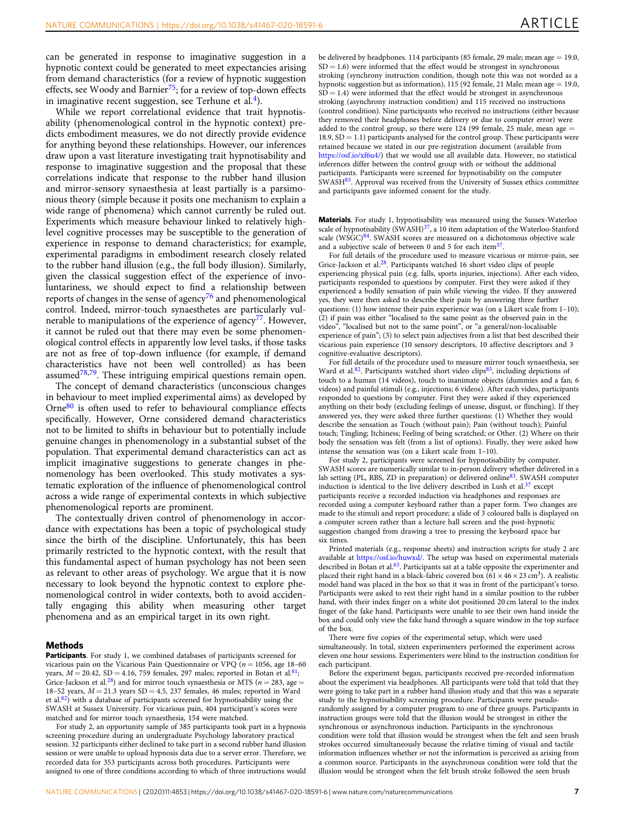can be generated in response to imaginative suggestion in a hypnotic context could be generated to meet expectancies arising from demand characteristics (for a review of hypnotic suggestion effects, see Woody and Barnier<sup>75</sup>; for a review of top-down effects in imaginative recent suggestion, see Terhune et al.<sup>4</sup>).

While we report correlational evidence that trait hypnotisability (phenomenological control in the hypnotic context) predicts embodiment measures, we do not directly provide evidence for anything beyond these relationships. However, our inferences draw upon a vast literature investigating trait hypnotisability and response to imaginative suggestion and the proposal that these correlations indicate that response to the rubber hand illusion and mirror-sensory synaesthesia at least partially is a parsimonious theory (simple because it posits one mechanism to explain a wide range of phenomena) which cannot currently be ruled out. Experiments which measure behaviour linked to relatively highlevel cognitive processes may be susceptible to the generation of experience in response to demand characteristics; for example, experimental paradigms in embodiment research closely related to the rubber hand illusion (e.g., the full body illusion). Similarly, given the classical suggestion effect of the experience of involuntariness, we should expect to find a relationship between reports of changes in the sense of agency<sup>[76](#page-10-0)</sup> and phenomenological control. Indeed, mirror-touch synaesthetes are particularly vulnerable to manipulations of the experience of agency<sup>77</sup>. However, it cannot be ruled out that there may even be some phenomenological control effects in apparently low level tasks, if those tasks are not as free of top-down influence (for example, if demand characteristics have not been well controlled) as has been assumed $78,79$ . These intriguing empirical questions remain open.

The concept of demand characteristics (unconscious changes in behaviour to meet implied experimental aims) as developed by Orne<sup>[80](#page-10-0)</sup> is often used to refer to behavioural compliance effects specifically. However, Orne considered demand characteristics not to be limited to shifts in behaviour but to potentially include genuine changes in phenomenology in a substantial subset of the population. That experimental demand characteristics can act as implicit imaginative suggestions to generate changes in phenomenology has been overlooked. This study motivates a systematic exploration of the influence of phenomenological control across a wide range of experimental contexts in which subjective phenomenological reports are prominent.

The contextually driven control of phenomenology in accordance with expectations has been a topic of psychological study since the birth of the discipline. Unfortunately, this has been primarily restricted to the hypnotic context, with the result that this fundamental aspect of human psychology has not been seen as relevant to other areas of psychology. We argue that it is now necessary to look beyond the hypnotic context to explore phenomenological control in wider contexts, both to avoid accidentally engaging this ability when measuring other target phenomena and as an empirical target in its own right.

#### Methods

Participants. For study 1, we combined databases of participants screened for vicarious pain on the Vicarious Pain Questionnaire or VPQ ( $n = 1056$ , age 18–60 years,  $M = 20.42$ , SD = 4.16, 759 females, 297 males; reported in Botan et al.<sup>81</sup>; Grice-Jackson et al.<sup>28</sup>) and for mirror touch synaesthesia or MTS ( $n = 283$ , age = 18–52 years,  $M = 21.3$  years SD = 4.5, 237 females, 46 males; reported in Ward et al. $82)$  with a database of participants screened for hypnotisability using the SWASH at Sussex University. For vicarious pain, 404 participant's scores were matched and for mirror touch synaesthesia, 154 were matched.

For study 2, an opportunity sample of 385 participants took part in a hypnosis screening procedure during an undergraduate Psychology laboratory practical session. 32 participants either declined to take part in a second rubber hand illusion session or were unable to upload hypnosis data due to a server error. Therefore, we recorded data for 353 participants across both procedures. Participants were assigned to one of three conditions according to which of three instructions would be delivered by headphones. 114 participants (85 female, 29 male; mean age  $= 19.0$ ,  $SD = 1.6$ ) were informed that the effect would be strongest in synchronous stroking (synchrony instruction condition, though note this was not worded as a hypnotic suggestion but as information), 115 (92 female, 21 Male; mean age = 19.0,  $\overrightarrow{SD} = 1.4$ ) were informed that the effect would be strongest in asynchronous stroking (asynchrony instruction condition) and 115 received no instructions (control condition). Nine participants who received no instructions (either because they removed their headphones before delivery or due to computer error) were added to the control group, so there were  $124$  (99 female, 25 male, mean age =  $18.9, SD = 1.1$ ) participants analysed for the control group. These participants were retained because we stated in our pre-registration document (available from [https://osf.io/xf6u4/\)](https://osf.io/xf6u4/) that we would use all available data. However, no statistical inferences differ between the control group with or without the additional participants. Participants were screened for hypnotisability on the computer SWASH<sup>[83](#page-10-0)</sup>. Approval was received from the University of Sussex ethics committee and participants gave informed consent for the study.

Materials. For study 1, hypnotisability was measured using the Sussex-Waterloo scale of hypnotisability (SWASH) $37$ , a 10 item adaptation of the Waterloo-Stanford scale (WSGC) $84$ . SWASH scores are measured on a dichotomous objective scale and a subjective scale of between 0 and 5 for each item<sup>37</sup>

For full details of the procedure used to measure vicarious or mirror-pain, see Grice-Jackson et al.<sup>[28](#page-9-0)</sup>. Participants watched 16 short video clips of people experiencing physical pain (e.g. falls, sports injuries, injections). After each video, participants responded to questions by computer. First they were asked if they experienced a bodily sensation of pain while viewing the video. If they answered yes, they were then asked to describe their pain by answering three further questions: (1) how intense their pain experience was (on a Likert scale from 1–10);  $(2)$  if pain was either "localised to the same point as the observed pain in the video", "localised but not to the same point", or "a general/non-localisable experience of pain"; (3) to select pain adjectives from a list that best described their vicarious pain experience (10 sensory descriptors, 10 affective descriptors and 3 cognitive-evaluative descriptors).

For full details of the procedure used to measure mirror touch synaesthesia, see Ward et al.<sup>82</sup>. Participants watched short video clips<sup>85</sup>, including depictions of touch to a human (14 videos), touch to inanimate objects (dummies and a fan; 6 videos) and painful stimuli (e.g., injections; 6 videos). After each video, participants responded to questions by computer. First they were asked if they experienced anything on their body (excluding feelings of unease, disgust, or flinching). If they answered yes, they were asked three further questions: (1) Whether they would describe the sensation as Touch (without pain); Pain (without touch); Painful touch; Tingling; Itchiness; Feeling of being scratched; or Other. (2) Where on their body the sensation was felt (from a list of options). Finally, they were asked how intense the sensation was (on a Likert scale from 1–10).

For study 2, participants were screened for hypnotisability by computer. SWASH scores are numerically similar to in-person delivery whether delivered in a lab setting (PL, RBS, ZD in preparation) or delivered online<sup>[83](#page-10-0)</sup>. SWASH computer induction is identical to the live delivery described in Lush et al. $37$  except participants receive a recorded induction via headphones and responses are recorded using a computer keyboard rather than a paper form. Two changes are made to the stimuli and report procedure; a slide of 3 coloured balls is displayed on a computer screen rather than a lecture hall screen and the post-hypnotic suggestion changed from drawing a tree to pressing the keyboard space bar six times.

Printed materials (e.g., response sheets) and instruction scripts for study 2 are available at [https://osf.io/huwxd/.](https://osf.io/huwxd/) The setup was based on experimental materials described in Botan et al.<sup>63</sup>. Participants sat at a table opposite the experimenter and placed their right hand in a black-fabric covered box  $(61 \times 46 \times 23 \text{ cm}^3)$ . A realistic model hand was placed in the box so that it was in front of the participant's torso. Participants were asked to rest their right hand in a similar position to the rubber hand, with their index finger on a white dot positioned 20 cm lateral to the index finger of the fake hand. Participants were unable to see their own hand inside the box and could only view the fake hand through a square window in the top surface of the box.

There were five copies of the experimental setup, which were used simultaneously. In total, sixteen experimenters performed the experiment across eleven one hour sessions. Experimenters were blind to the instruction condition for each participant.

Before the experiment began, participants received pre-recorded information about the experiment via headphones. All participants were told that told that they were going to take part in a rubber hand illusion study and that this was a separate study to the hypnotisability screening procedure. Participants were pseudorandomly assigned by a computer program to one of three groups. Participants in instruction groups were told that the illusion would be strongest in either the synchronous or asynchronous induction. Participants in the synchronous condition were told that illusion would be strongest when the felt and seen brush strokes occurred simultaneously because the relative timing of visual and tactile information influences whether or not the information is perceived as arising from a common source. Participants in the asynchronous condition were told that the illusion would be strongest when the felt brush stroke followed the seen brush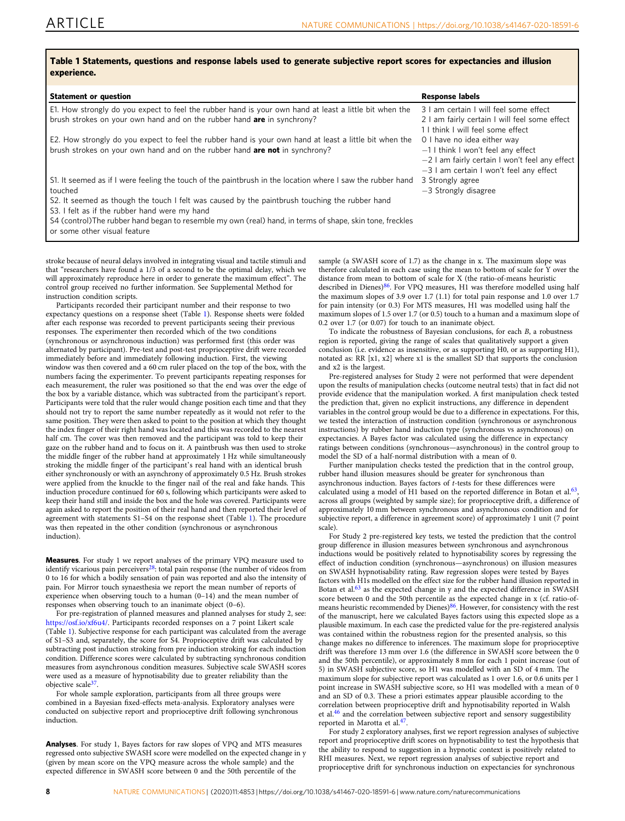#### Table 1 Statements, questions and response labels used to generate subjective report scores for expectancies and illusion experience.

| <b>Statement or question</b>                                                                                                                                                                                                                                                                                                                                                                                          | <b>Response labels</b>                                                                                                                                               |
|-----------------------------------------------------------------------------------------------------------------------------------------------------------------------------------------------------------------------------------------------------------------------------------------------------------------------------------------------------------------------------------------------------------------------|----------------------------------------------------------------------------------------------------------------------------------------------------------------------|
| E1. How strongly do you expect to feel the rubber hand is your own hand at least a little bit when the<br>brush strokes on your own hand and on the rubber hand are in synchrony?                                                                                                                                                                                                                                     | 3 I am certain I will feel some effect<br>2 I am fairly certain I will feel some effect<br>1 I think I will feel some effect                                         |
| E2. How strongly do you expect to feel the rubber hand is your own hand at least a little bit when the<br>brush strokes on your own hand and on the rubber hand <b>are not</b> in synchrony?                                                                                                                                                                                                                          | 0 I have no idea either way<br>$-1$ I think I won't feel any effect<br>$-2$ I am fairly certain I won't feel any effect<br>$-3$ I am certain I won't feel any effect |
| S1. It seemed as if I were feeling the touch of the paintbrush in the location where I saw the rubber hand<br>touched<br>S2. It seemed as though the touch I felt was caused by the paintbrush touching the rubber hand<br>S3. I felt as if the rubber hand were my hand<br>S4 (control) The rubber hand began to resemble my own (real) hand, in terms of shape, skin tone, freckles<br>or some other visual feature | 3 Strongly agree<br>$-3$ Strongly disagree                                                                                                                           |

stroke because of neural delays involved in integrating visual and tactile stimuli and that "researchers have found a 1/3 of a second to be the optimal delay, which we will approximately reproduce here in order to generate the maximum effect". The control group received no further information. See Supplemental Method for instruction condition scripts.

Participants recorded their participant number and their response to two expectancy questions on a response sheet (Table 1). Response sheets were folded after each response was recorded to prevent participants seeing their previous responses. The experimenter then recorded which of the two conditions (synchronous or asynchronous induction) was performed first (this order was alternated by participant). Pre-test and post-test proprioceptive drift were recorded immediately before and immediately following induction. First, the viewing window was then covered and a 60 cm ruler placed on the top of the box, with the numbers facing the experimenter. To prevent participants repeating responses for each measurement, the ruler was positioned so that the end was over the edge of the box by a variable distance, which was subtracted from the participant's report. Participants were told that the ruler would change position each time and that they should not try to report the same number repeatedly as it would not refer to the same position. They were then asked to point to the position at which they thought the index finger of their right hand was located and this was recorded to the nearest half cm. The cover was then removed and the participant was told to keep their gaze on the rubber hand and to focus on it. A paintbrush was then used to stroke the middle finger of the rubber hand at approximately 1 Hz while simultaneously stroking the middle finger of the participant's real hand with an identical brush either synchronously or with an asynchrony of approximately 0.5 Hz. Brush strokes were applied from the knuckle to the finger nail of the real and fake hands. This induction procedure continued for 60 s, following which participants were asked to keep their hand still and inside the box and the hole was covered. Participants were again asked to report the position of their real hand and then reported their level of agreement with statements S1–S4 on the response sheet (Table 1). The procedure was then repeated in the other condition (synchronous or asynchronous induction).

Measures. For study 1 we report analyses of the primary VPQ measure used to identify vicarious pain perceivers<sup>28</sup>: total pain response (the number of videos from 0 to 16 for which a bodily sensation of pain was reported and also the intensity of pain. For Mirror touch synaesthesia we report the mean number of reports of experience when observing touch to a human (0–14) and the mean number of responses when observing touch to an inanimate object (0–6).

For pre-registration of planned measures and planned analyses for study 2, see: [https://osf.io/xf6u4/.](https://osf.io/xf6u4/) Participants recorded responses on a 7 point Likert scale (Table 1). Subjective response for each participant was calculated from the average of S1–S3 and, separately, the score for S4. Proprioceptive drift was calculated by subtracting post induction stroking from pre induction stroking for each induction condition. Difference scores were calculated by subtracting synchronous condition measures from asynchronous condition measures. Subjective scale SWASH scores were used as a measure of hypnotisability due to greater reliability than the objective scale<sup>[37](#page-9-0)</sup>.

For whole sample exploration, participants from all three groups were combined in a Bayesian fixed-effects meta-analysis. Exploratory analyses were conducted on subjective report and proprioceptive drift following synchronous induction.

Analyses. For study 1, Bayes factors for raw slopes of VPQ and MTS measures regressed onto subjective SWASH score were modelled on the expected change in y (given by mean score on the VPQ measure across the whole sample) and the expected difference in SWASH score between 0 and the 50th percentile of the

sample (a SWASH score of 1.7) as the change in x. The maximum slope was therefore calculated in each case using the mean to bottom of scale for Y over the distance from mean to bottom of scale for X (the ratio-of-means heuristic described in Dienes) $86$ . For VPQ measures, H1 was therefore modelled using half the maximum slopes of 3.9 over 1.7 (1.1) for total pain response and 1.0 over 1.7 for pain intensity (or 0.3) For MTS measures, H1 was modelled using half the maximum slopes of 1.5 over 1.7 (or 0.5) touch to a human and a maximum slope of 0.2 over 1.7 (or 0.07) for touch to an inanimate object.

To indicate the robustness of Bayesian conclusions, for each B, a robustness region is reported, giving the range of scales that qualitatively support a given conclusion (i.e. evidence as insensitive, or as supporting H0, or as supporting H1), notated as: RR [x1, x2] where x1 is the smallest SD that supports the conclusion and x<sub>2</sub> is the largest.

Pre-registered analyses for Study 2 were not performed that were dependent upon the results of manipulation checks (outcome neutral tests) that in fact did not provide evidence that the manipulation worked. A first manipulation check tested the prediction that, given no explicit instructions, any difference in dependent variables in the control group would be due to a difference in expectations. For this, we tested the interaction of instruction condition (synchronous or asynchronous instructions) by rubber hand induction type (synchronous vs asynchronous) on expectancies. A Bayes factor was calculated using the difference in expectancy ratings between conditions (synchronous—asynchronous) in the control group to model the SD of a half-normal distribution with a mean of 0.

Further manipulation checks tested the prediction that in the control group, rubber hand illusion measures should be greater for synchronous than asynchronous induction. Bayes factors of  $t$ -tests for these differences were calculated using a model of H1 based on the reported difference in Botan et al.<sup>63</sup>, across all groups (weighted by sample size); for proprioceptive drift, a difference of approximately 10 mm between synchronous and asynchronous condition and for subjective report, a difference in agreement score) of approximately 1 unit (7 point scale).

For Study 2 pre-registered key tests, we tested the prediction that the control group difference in illusion measures between synchronous and asynchronous inductions would be positively related to hypnotisability scores by regressing the effect of induction condition (synchronous—asynchronous) on illusion measures on SWASH hypnotisability rating. Raw regression slopes were tested by Bayes factors with H1s modelled on the effect size for the rubber hand illusion reported in Botan et al.<sup>63</sup> as the expected change in y and the expected difference in SWASH score between 0 and the 50th percentile as the expected change in x (cf. ratio-of-means heuristic recommended by Dienes)<sup>[86](#page-10-0)</sup>. However, for consistency with the rest of the manuscript, here we calculated Bayes factors using this expected slope as a plausible maximum. In each case the predicted value for the pre-registered analysis was contained within the robustness region for the presented analysis, so this change makes no difference to inferences. The maximum slope for proprioceptive drift was therefore 13 mm over 1.6 (the difference in SWASH score between the 0 and the 50th percentile), or approximately 8 mm for each 1 point increase (out of 5) in SWASH subjective score, so H1 was modelled with an SD of 4 mm. The maximum slope for subjective report was calculated as 1 over 1.6, or 0.6 units per 1 point increase in SWASH subjective score, so H1 was modelled with a mean of 0 and an SD of 0.3. These a priori estimates appear plausible according to the correlation between proprioceptive drift and hypnotisability reported in Walsh et al.[46](#page-9-0) and the correlation between subjective report and sensory suggestibility reported in Marotta et al.<sup>[47](#page-9-0)</sup>.

For study 2 exploratory analyses, first we report regression analyses of subjective report and proprioceptive drift scores on hypnotisability to test the hypothesis that the ability to respond to suggestion in a hypnotic context is positively related to RHI measures. Next, we report regression analyses of subjective report and proprioceptive drift for synchronous induction on expectancies for synchronous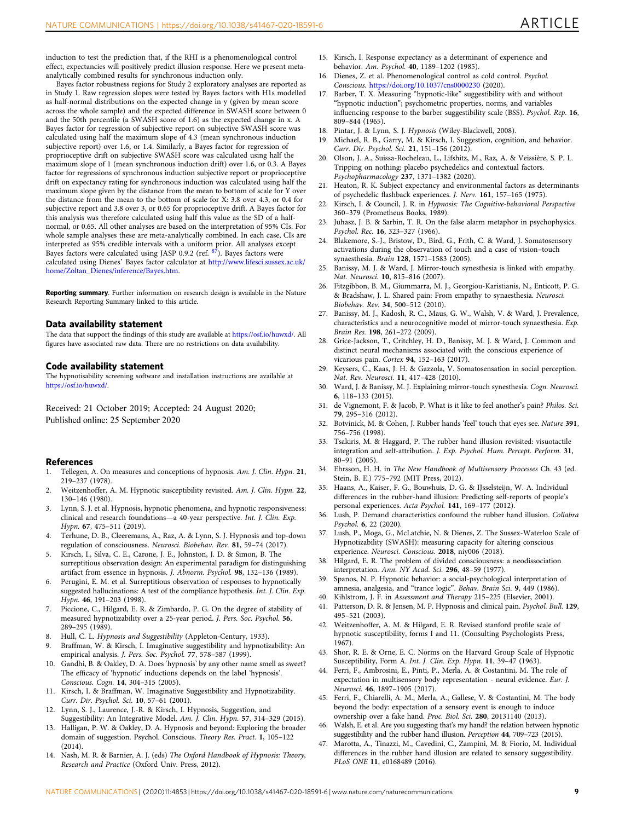<span id="page-9-0"></span>induction to test the prediction that, if the RHI is a phenomenological control effect, expectancies will positively predict illusion response. Here we present metaanalytically combined results for synchronous induction only.

Bayes factor robustness regions for Study 2 exploratory analyses are reported as in Study 1. Raw regression slopes were tested by Bayes factors with H1s modelled as half-normal distributions on the expected change in y (given by mean score across the whole sample) and the expected difference in SWASH score between 0 and the 50th percentile (a SWASH score of 1.6) as the expected change in x. A Bayes factor for regression of subjective report on subjective SWASH score was calculated using half the maximum slope of 4.3 (mean synchronous induction subjective report) over 1.6, or 1.4. Similarly, a Bayes factor for regression of proprioceptive drift on subjective SWASH score was calculated using half the maximum slope of 1 (mean synchronous induction drift) over 1.6, or 0.3. A Bayes factor for regressions of synchronous induction subjective report or proprioceptive drift on expectancy rating for synchronous induction was calculated using half the maximum slope given by the distance from the mean to bottom of scale for Y over the distance from the mean to the bottom of scale for X: 3.8 over 4.3, or 0.4 for subjective report and 3.8 over 3, or 0.65 for proprioceptive drift. A Bayes factor for this analysis was therefore calculated using half this value as the SD of a halfnormal, or 0.65. All other analyses are based on the interpretation of 95% CIs. For whole sample analyses these are meta-analytically combined. In each case, CIs are interpreted as 95% credible intervals with a uniform prior. All analyses except Bayes factors were calculated using JASP 0.9.2 (ref.  $87$ ). Bayes factors were calculated using Dienes' Bayes factor calculator at [http://www.lifesci.sussex.ac.uk/](http://www.lifesci.sussex.ac.uk/home/Zoltan_Dienes/inference/Bayes.htm) [home/Zoltan\\_Dienes/inference/Bayes.htm.](http://www.lifesci.sussex.ac.uk/home/Zoltan_Dienes/inference/Bayes.htm)

Reporting summary. Further information on research design is available in the Nature Research Reporting Summary linked to this article.

#### Data availability statement

The data that support the findings of this study are available at [https://osf.io/huwxd/.](https://osf.io/huwxd/) All figures have associated raw data. There are no restrictions on data availability.

#### Code availability statement

The hypnotisability screening software and installation instructions are available at <https://osf.io/huwxd/>.

Received: 21 October 2019; Accepted: 24 August 2020; Published online: 25 September 2020

#### References

- 1. Tellegen, A. On measures and conceptions of hypnosis. Am. J. Clin. Hypn. 21, 219–237 (1978).
- 2. Weitzenhoffer, A. M. Hypnotic susceptibility revisited. Am. J. Clin. Hypn. 22, 130–146 (1980).
- 3. Lynn, S. J. et al. Hypnosis, hypnotic phenomena, and hypnotic responsiveness: clinical and research foundations—a 40-year perspective. Int. J. Clin. Exp. Hypn. 67, 475–511 (2019).
- 4. Terhune, D. B., Cleeremans, A., Raz, A. & Lynn, S. J. Hypnosis and top-down regulation of consciousness. Neurosci. Biobehav. Rev. 81, 59–74 (2017).
- 5. Kirsch, I., Silva, C. E., Carone, J. E., Johnston, J. D. & Simon, B. The surreptitious observation design: An experimental paradigm for distinguishing artifact from essence in hypnosis. J. Abnorm. Psychol. 98, 132–136 (1989).
- 6. Perugini, E. M. et al. Surreptitious observation of responses to hypnotically suggested hallucinations: A test of the compliance hypothesis. Int. J. Clin. Exp. Hypn. 46, 191–203 (1998).
- 7. Piccione, C., Hilgard, E. R. & Zimbardo, P. G. On the degree of stability of measured hypnotizability over a 25-year period. J. Pers. Soc. Psychol. 56, 289–295 (1989).
- Hull, C. L. Hypnosis and Suggestibility (Appleton-Century, 1933).
- 9. Braffman, W. & Kirsch, I. Imaginative suggestibility and hypnotizability: An empirical analysis. J. Pers. Soc. Psychol. 77, 578–587 (1999).
- 10. Gandhi, B. & Oakley, D. A. Does 'hypnosis' by any other name smell as sweet? The efficacy of 'hypnotic' inductions depends on the label 'hypnosis'. Conscious. Cogn. 14, 304–315 (2005).
- 11. Kirsch, I. & Braffman, W. Imaginative Suggestibility and Hypnotizability. Curr. Dir. Psychol. Sci. 10, 57–61 (2001).
- Lynn, S. J., Laurence, J.-R. & Kirsch, I. Hypnosis, Suggestion, and
- Suggestibility: An Integrative Model. Am. J. Clin. Hypn. 57, 314–329 (2015). 13. Halligan, P. W. & Oakley, D. A. Hypnosis and beyond: Exploring the broader domain of suggestion. Psychol. Conscious. Theory Res. Pract. 1, 105–122
- (2014). 14. Nash, M. R. & Barnier, A. J. (eds) The Oxford Handbook of Hypnosis: Theory, Research and Practice (Oxford Univ. Press, 2012).
- 15. Kirsch, I. Response expectancy as a determinant of experience and behavior. Am. Psychol. 40, 1189–1202 (1985).
- 16. Dienes, Z. et al. Phenomenological control as cold control. Psychol. Conscious. <https://doi.org/10.1037/cns0000230> (2020).
- 17. Barber, T. X. Measuring "hypnotic-like" suggestibility with and without "hypnotic induction"; psychometric properties, norms, and variables influencing response to the barber suggestibility scale (BSS). Psychol. Rep. 16, 809–844 (1965).
- 18. Pintar, J. & Lynn, S. J. Hypnosis (Wiley-Blackwell, 2008).
- 19. Michael, R. B., Garry, M. & Kirsch, I. Suggestion, cognition, and behavior. Curr. Dir. Psychol. Sci. 21, 151–156 (2012).
- 20. Olson, J. A., Suissa-Rocheleau, L., Lifshitz, M., Raz, A. & Veissière, S. P. L. Tripping on nothing: placebo psychedelics and contextual factors. Psychopharmacology 237, 1371–1382 (2020).
- 21. Heaton, R. K. Subject expectancy and environmental factors as determinants of psychedelic flashback experiences. J. Nerv. 161, 157–165 (1975).
- 22. Kirsch, I. & Council, J. R. in Hypnosis: The Cognitive-behavioral Perspective 360–379 (Prometheus Books, 1989).
- 23. Juhasz, J. B. & Sarbin, T. R. On the false alarm metaphor in psychophysics. Psychol. Rec. 16, 323–327 (1966).
- 24. Blakemore, S.-J., Bristow, D., Bird, G., Frith, C. & Ward, J. Somatosensory activations during the observation of touch and a case of vision–touch synaesthesia. Brain 128, 1571–1583 (2005).
- 25. Banissy, M. J. & Ward, J. Mirror-touch synesthesia is linked with empathy. Nat. Neurosci. 10, 815–816 (2007).
- 26. Fitzgibbon, B. M., Giummarra, M. J., Georgiou-Karistianis, N., Enticott, P. G. & Bradshaw, J. L. Shared pain: From empathy to synaesthesia. Neurosci. Biobehav. Rev. 34, 500–512 (2010).
- 27. Banissy, M. J., Kadosh, R. C., Maus, G. W., Walsh, V. & Ward, J. Prevalence, characteristics and a neurocognitive model of mirror-touch synaesthesia. Exp. Brain Res. 198, 261–272 (2009).
- 28. Grice-Jackson, T., Critchley, H. D., Banissy, M. J. & Ward, J. Common and distinct neural mechanisms associated with the conscious experience of vicarious pain. Cortex 94, 152–163 (2017).
- 29. Keysers, C., Kaas, J. H. & Gazzola, V. Somatosensation in social perception. Nat. Rev. Neurosci. 11, 417–428 (2010).
- 30. Ward, J. & Banissy, M. J. Explaining mirror-touch synesthesia. Cogn. Neurosci. 6, 118–133 (2015).
- 31. de Vignemont, F. & Jacob, P. What is it like to feel another's pain? Philos. Sci. 79, 295–316 (2012).
- 32. Botvinick, M. & Cohen, J. Rubber hands 'feel' touch that eyes see. Nature 391, 756–756 (1998).
- 33. Tsakiris, M. & Haggard, P. The rubber hand illusion revisited: visuotactile integration and self-attribution. J. Exp. Psychol. Hum. Percept. Perform. 31, 80–91 (2005).
- 34. Ehrsson, H. H. in The New Handbook of Multisensory Processes Ch. 43 (ed. Stein, B. E.) 775–792 (MIT Press, 2012).
- 35. Haans, A., Kaiser, F. G., Bouwhuis, D. G. & IJsselsteijn, W. A. Individual differences in the rubber-hand illusion: Predicting self-reports of people's personal experiences. Acta Psychol. 141, 169–177 (2012).
- 36. Lush, P. Demand characteristics confound the rubber hand illusion. Collabra Psychol. 6, 22 (2020).
- 37. Lush, P., Moga, G., McLatchie, N. & Dienes, Z. The Sussex-Waterloo Scale of Hypnotizability (SWASH): measuring capacity for altering conscious experience. Neurosci. Conscious. 2018, niy006 (2018).
- 38. Hilgard, E. R. The problem of divided consciousness: a neodissociation interpretation. Ann. NY Acad. Sci. 296, 48–59 (1977).
- 39. Spanos, N. P. Hypnotic behavior: a social-psychological interpretation of amnesia, analgesia, and "trance logic". Behav. Brain Sci. 9, 449 (1986).
- 40. Kihlstrom, J. F. in Assessment and Therapy 215–225 (Elsevier, 2001).
- 41. Patterson, D. R. & Jensen, M. P. Hypnosis and clinical pain. Psychol. Bull. 129, 495–521 (2003).
- 42. Weitzenhoffer, A. M. & Hilgard, E. R. Revised stanford profile scale of hypnotic susceptibility, forms I and 11. (Consulting Psychologists Press, 1967).
- 43. Shor, R. E. & Orne, E. C. Norms on the Harvard Group Scale of Hypnotic Susceptibility, Form A. Int. J. Clin. Exp. Hypn. 11, 39–47 (1963).
- 44. Ferri, F., Ambrosini, E., Pinti, P., Merla, A. & Costantini, M. The role of expectation in multisensory body representation - neural evidence. Eur. J. Neurosci. 46, 1897–1905 (2017).
- 45. Ferri, F., Chiarelli, A. M., Merla, A., Gallese, V. & Costantini, M. The body beyond the body: expectation of a sensory event is enough to induce ownership over a fake hand. Proc. Biol. Sci. 280, 20131140 (2013).
- 46. Walsh, E. et al. Are you suggesting that's my hand? the relation between hypnotic suggestibility and the rubber hand illusion. Perception 44, 709–723 (2015).
- 47. Marotta, A., Tinazzi, M., Cavedini, C., Zampini, M. & Fiorio, M. Individual differences in the rubber hand illusion are related to sensory suggestibility. PLoS ONE 11, e0168489 (2016).